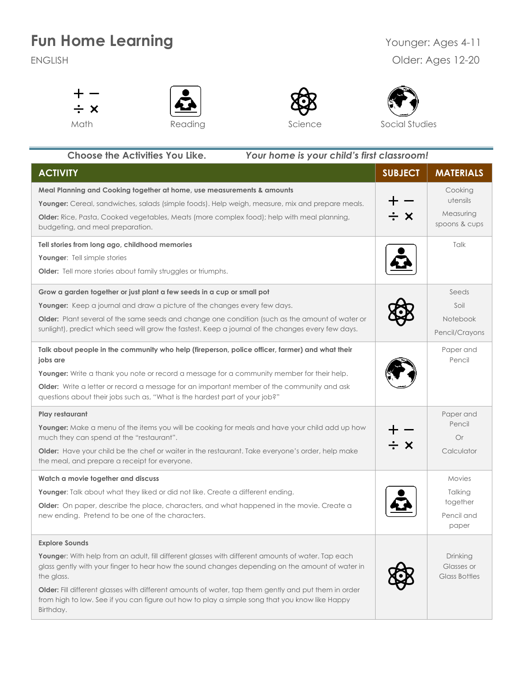## **Fun Home Learning** <br>
Younger: Ages 4-11

## ENGLISH Older: Ages 12-20









 **Choose the Activities You Like.** *Your home is your child's first classroom!* **ACTIVITY SUBJECT MATERIALS Meal Planning and Cooking together at home, use measurements & amounts** Cooking utensils **Younger:** Cereal, sandwiches, salads (simple foods). Help weigh, measure, mix and prepare meals. Measuring **Older:** Rice, Pasta, Cooked vegetables, Meats (more complex food); help with meal planning, . х spoons & cups budgeting, and meal preparation. **Tell stories from long ago, childhood memories** Talk **Younger**: Tell simple stories **Older:** Tell more stories about family struggles or triumphs. **Grow a garden together or just plant a few seeds in a cup or small pot** Seeds **Younger:** Keep a journal and draw a picture of the changes every few days. Soil **Older:** Plant several of the same seeds and change one condition (such as the amount of water or Notebook sunlight), predict which seed will grow the fastest. Keep a journal of the changes every few days. Pencil/Crayons **Talk about people in the community who help (fireperson, police officer, farmer) and what their**  Paper and **jobs are** Pencil **Younger:** Write a thank you note or record a message for a community member for their help. **Older:** Write a letter or record a message for an important member of the community and ask questions about their jobs such as, "What is the hardest part of your job?" **Play restaurant** Paper and Pencil **Younger:** Make a menu of the items you will be cooking for meals and have your child add up how Or much they can spend at the "restaurant". - x **Older:** Have your child be the chef or waiter in the restaurant. Take everyone's order, help make **Calculator** the meal, and prepare a receipt for everyone. **Watch a movie together and discuss** Movies **Younger**: Talk about what they liked or did not like. Create a different ending. Talking together **Older:** On paper, describe the place, characters, and what happened in the movie. Create a new ending. Pretend to be one of the characters. Pencil and paper **Explore Sounds** Younger: With help from an adult, fill different glasses with different amounts of water. Tap each Drinking glass gently with your finger to hear how the sound changes depending on the amount of water in Glasses or the glass. Glass Bottles **Older:** Fill different glasses with different amounts of water, tap them gently and put them in order from high to low. See if you can figure out how to play a simple song that you know like Happy

Birthday.